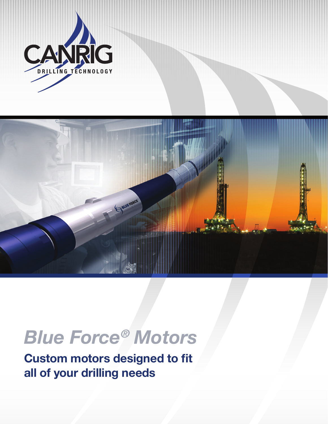



## *Blue Force® Motors*

**Custom motors designed to fit all of your drilling needs**